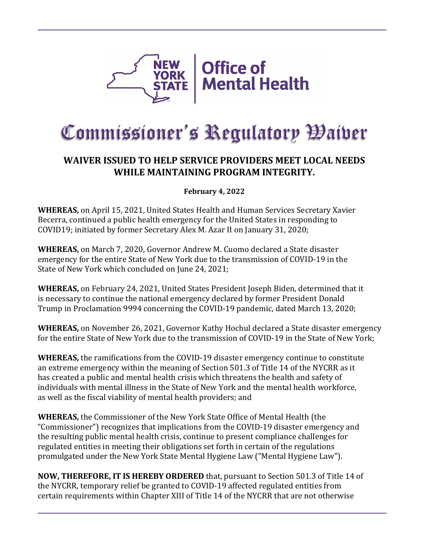

## Commissioner's Regulatory Waiver

## **WAIVER ISSUED TO HELP SERVICE PROVIDERS MEET LOCAL NEEDS WHILE MAINTAINING PROGRAM INTEGRITY.**

## **February 4, 2022**

**WHEREAS,** on April 15, 2021, United States Health and Human Services Secretary Xavier Becerra, continued a public health emergency for the United States in responding to COVID19; initiated by former Secretary Alex M. Azar II on January 31, 2020;

**WHEREAS,** on March 7, 2020, Governor Andrew M. Cuomo declared a State disaster emergency for the entire State of New York due to the transmission of COVID-19 in the State of New York which concluded on June 24, 2021;

**WHEREAS,** on February 24, 2021, United States President Joseph Biden, determined that it is necessary to continue the national emergency declared by former President Donald Trump in Proclamation 9994 concerning the COVID-19 pandemic, dated March 13, 2020;

**WHEREAS,** on November 26, 2021, Governor Kathy Hochul declared a State disaster emergency for the entire State of New York due to the transmission of COVID-19 in the State of New York;

**WHEREAS,** the ramifications from the COVID-19 disaster emergency continue to constitute an extreme emergency within the meaning of Section 501.3 of Title 14 of the NYCRR as it has created a public and mental health crisis which threatens the health and safety of individuals with mental illness in the State of New York and the mental health workforce, as well as the fiscal viability of mental health providers; and

**WHEREAS,** the Commissioner of the New York State Office of Mental Health (the "Commissioner") recognizes that implications from the COVID-19 disaster emergency and the resulting public mental health crisis, continue to present compliance challenges for regulated entities in meeting their obligations set forth in certain of the regulations promulgated under the New York State Mental Hygiene Law ("Mental Hygiene Law").

**NOW, THEREFORE, IT IS HEREBY ORDERED** that, pursuant to Section 501.3 of Title 14 of the NYCRR, temporary relief be granted to COVID-19 affected regulated entities from certain requirements within Chapter XIII of Title 14 of the NYCRR that are not otherwise